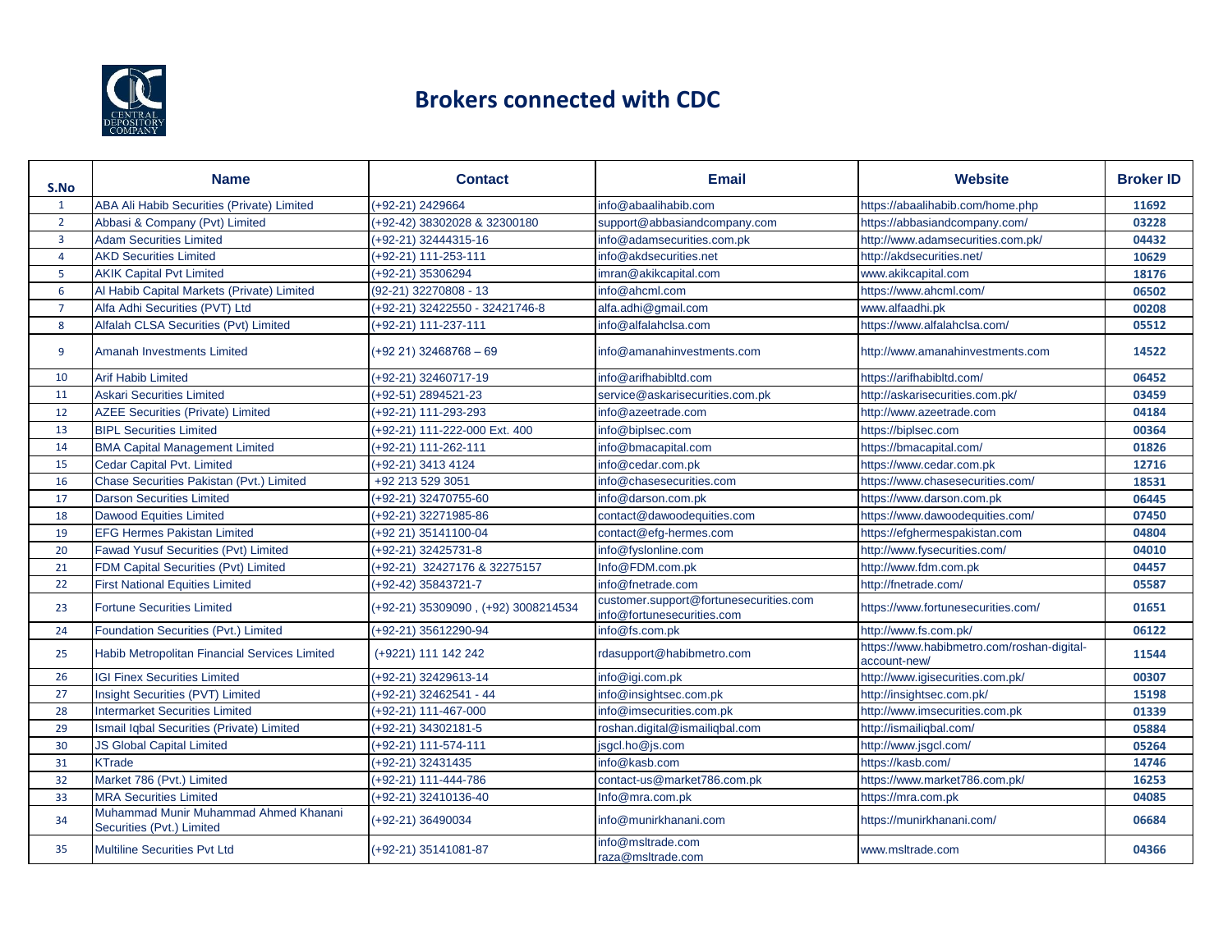

## **Brokers connected with CDC**

| S.No           | <b>Name</b>                                                        | <b>Contact</b>                      | <b>Email</b>                                                         | <b>Website</b>                                             | <b>Broker ID</b> |
|----------------|--------------------------------------------------------------------|-------------------------------------|----------------------------------------------------------------------|------------------------------------------------------------|------------------|
| $\mathbf{1}$   | ABA Ali Habib Securities (Private) Limited                         | (+92-21) 2429664                    | info@abaalihabib.com                                                 | https://abaalihabib.com/home.php                           | 11692            |
| $\overline{2}$ | Abbasi & Company (Pvt) Limited                                     | (+92-42) 38302028 & 32300180        | support@abbasiandcompany.com                                         | https://abbasiandcompany.com/                              | 03228            |
| $\overline{3}$ | <b>Adam Securities Limited</b>                                     | (+92-21) 32444315-16                | info@adamsecurities.com.pk                                           | http://www.adamsecurities.com.pk/                          | 04432            |
| $\overline{4}$ | <b>AKD Securities Limited</b>                                      | (+92-21) 111-253-111                | info@akdsecurities.net                                               | http://akdsecurities.net/                                  | 10629            |
| 5              | <b>AKIK Capital Pvt Limited</b>                                    | (+92-21) 35306294                   | imran@akikcapital.com                                                | www.akikcapital.com                                        | 18176            |
| 6              | Al Habib Capital Markets (Private) Limited                         | (92-21) 32270808 - 13               | info@ahcml.com                                                       | https://www.ahcml.com/                                     | 06502            |
| $\overline{7}$ | Alfa Adhi Securities (PVT) Ltd                                     | (+92-21) 32422550 - 32421746-8      | alfa.adhi@gmail.com                                                  | www.alfaadhi.pk                                            | 00208            |
| 8              | Alfalah CLSA Securities (Pvt) Limited                              | (+92-21) 111-237-111                | info@alfalahclsa.com                                                 | https://www.alfalahclsa.com/                               | 05512            |
| 9              | Amanah Investments Limited                                         | $(+92 21)$ 32468768 - 69            | info@amanahinvestments.com                                           | http://www.amanahinvestments.com                           | 14522            |
| 10             | <b>Arif Habib Limited</b>                                          | (+92-21) 32460717-19                | info@arifhabibltd.com                                                | https://arifhabibltd.com/                                  | 06452            |
| 11             | <b>Askari Securities Limited</b>                                   | (+92-51) 2894521-23                 | service@askarisecurities.com.pk                                      | http://askarisecurities.com.pk/                            | 03459            |
| 12             | <b>AZEE Securities (Private) Limited</b>                           | (+92-21) 111-293-293                | info@azeetrade.com                                                   | http://www.azeetrade.com                                   | 04184            |
| 13             | <b>BIPL Securities Limited</b>                                     | (+92-21) 111-222-000 Ext. 400       | info@biplsec.com                                                     | https://biplsec.com                                        | 00364            |
| 14             | <b>BMA Capital Management Limited</b>                              | (+92-21) 111-262-111                | info@bmacapital.com                                                  | https://bmacapital.com/                                    | 01826            |
| 15             | Cedar Capital Pvt. Limited                                         | (+92-21) 3413 4124                  | info@cedar.com.pk                                                    | https://www.cedar.com.pk                                   | 12716            |
| 16             | Chase Securities Pakistan (Pvt.) Limited                           | +92 213 529 3051                    | info@chasesecurities.com                                             | https://www.chasesecurities.com/                           | 18531            |
| 17             | <b>Darson Securities Limited</b>                                   | (+92-21) 32470755-60                | info@darson.com.pk                                                   | https://www.darson.com.pk                                  | 06445            |
| 18             | <b>Dawood Equities Limited</b>                                     | (+92-21) 32271985-86                | contact@dawoodequities.com                                           | https://www.dawoodequities.com/                            | 07450            |
| 19             | <b>EFG Hermes Pakistan Limited</b>                                 | (+92 21) 35141100-04                | contact@efg-hermes.com                                               | https://efghermespakistan.com                              | 04804            |
| 20             | Fawad Yusuf Securities (Pvt) Limited                               | (+92-21) 32425731-8                 | info@fyslonline.com                                                  | http://www.fysecurities.com/                               | 04010            |
| 21             | <b>FDM Capital Securities (Pvt) Limited</b>                        | (+92-21) 32427176 & 32275157        | Info@FDM.com.pk                                                      | http://www.fdm.com.pk                                      | 04457            |
| 22             | <b>First National Equities Limited</b>                             | (+92-42) 35843721-7                 | info@fnetrade.com                                                    | http://fnetrade.com/                                       | 05587            |
| 23             | <b>Fortune Securities Limited</b>                                  | (+92-21) 35309090, (+92) 3008214534 | customer.support@fortunesecurities.com<br>info@fortunesecurities.com | https://www.fortunesecurities.com/                         | 01651            |
| 24             | Foundation Securities (Pvt.) Limited                               | (+92-21) 35612290-94                | info@fs.com.pk                                                       | http://www.fs.com.pk/                                      | 06122            |
| 25             | Habib Metropolitan Financial Services Limited                      | (+9221) 111 142 242                 | rdasupport@habibmetro.com                                            | https://www.habibmetro.com/roshan-digital-<br>account-new/ | 11544            |
| 26             | <b>IGI Finex Securities Limited</b>                                | (+92-21) 32429613-14                | info@igi.com.pk                                                      | http://www.igisecurities.com.pk/                           | 00307            |
| 27             | Insight Securities (PVT) Limited                                   | (+92-21) 32462541 - 44              | info@insightsec.com.pk                                               | http://insightsec.com.pk/                                  | 15198            |
| 28             | <b>Intermarket Securities Limited</b>                              | (+92-21) 111-467-000                | info@imsecurities.com.pk                                             | http://www.imsecurities.com.pk                             | 01339            |
| 29             | Ismail Iqbal Securities (Private) Limited                          | (+92-21) 34302181-5                 | roshan.digital@ismailiqbal.com                                       | http://ismailiqbal.com/                                    | 05884            |
| 30             | <b>JS Global Capital Limited</b>                                   | (+92-21) 111-574-111                | jsgcl.ho@js.com                                                      | http://www.jsgcl.com/                                      | 05264            |
| 31             | <b>KTrade</b>                                                      | (+92-21) 32431435                   | info@kasb.com                                                        | https://kasb.com/                                          | 14746            |
| 32             | Market 786 (Pvt.) Limited                                          | (+92-21) 111-444-786                | contact-us@market786.com.pk                                          | https://www.market786.com.pk/                              | 16253            |
| 33             | <b>MRA Securities Limited</b>                                      | (+92-21) 32410136-40                | Info@mra.com.pk                                                      | https://mra.com.pk                                         | 04085            |
| 34             | Muhammad Munir Muhammad Ahmed Khanani<br>Securities (Pvt.) Limited | (+92-21) 36490034                   | info@munirkhanani.com                                                | https://munirkhanani.com/                                  | 06684            |
| 35             | <b>Multiline Securities Pvt Ltd</b>                                | (+92-21) 35141081-87                | info@msltrade.com<br>raza@msltrade.com                               | www.msltrade.com                                           | 04366            |